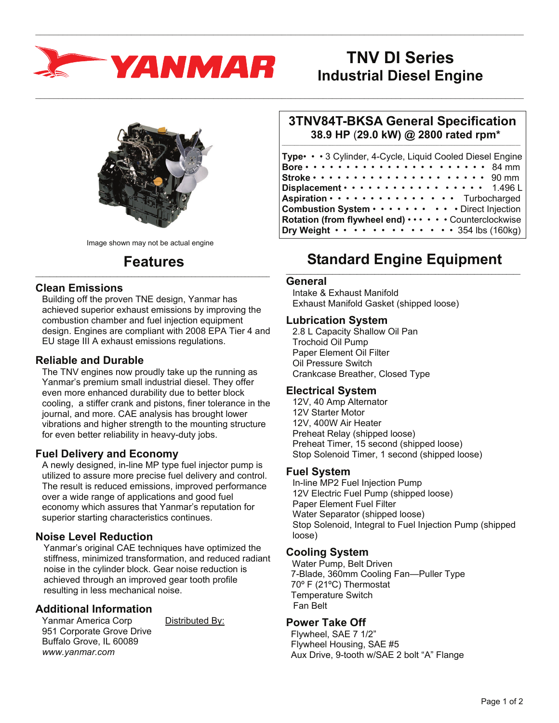

Image shown may not be actual engine

#### **Features**  $\_$  , and the set of the set of the set of the set of the set of the set of the set of the set of the set of the set of the set of the set of the set of the set of the set of the set of the set of the set of the set of th

#### **Clean Emissions**

Building off the proven TNE design, Yanmar has achieved superior exhaust emissions by improving the combustion chamber and fuel injection equipment design. Engines are compliant with 2008 EPA Tier 4 and EU stage III A exhaust emissions regulations.

### **Reliable and Durable**

The TNV engines now proudly take up the running as Yanmar's premium small industrial diesel. They offer even more enhanced durability due to better block cooling, a stiffer crank and pistons, finer tolerance in the journal, and more. CAE analysis has brought lower vibrations and higher strength to the mounting structure for even better reliability in heavy-duty jobs.

#### **Fuel Delivery and Economy**

A newly designed, in-line MP type fuel injector pump is utilized to assure more precise fuel delivery and control. The result is reduced emissions, improved performance over a wide range of applications and good fuel economy which assures that Yanmar's reputation for superior starting characteristics continues.

# **Noise Level Reduction**

Yanmar's original CAE techniques have optimized the stiffness, minimized transformation, and reduced radiant noise in the cylinder block. Gear noise reduction is achieved through an improved gear tooth profile resulting in less mechanical noise.

# **Additional Information**

Yanmar America Corp Distributed By: 951 Corporate Grove Drive Buffalo Grove, IL 60089 *www.yanmar.com* 

# **TNV DI Series Industrial Diesel Engine**

#### **3TNV84T-BKSA General Specification 38.9 HP** (**29.0 kW) @ 2800 rated rpm\***  $\_$  ,  $\_$  ,  $\_$  ,  $\_$  ,  $\_$  ,  $\_$  ,  $\_$  ,  $\_$  ,  $\_$  ,  $\_$  ,  $\_$  ,  $\_$  ,  $\_$  ,  $\_$  ,  $\_$  ,  $\_$  ,  $\_$  ,  $\_$  ,  $\_$  ,  $\_$

| Type • • 3 Cylinder, 4-Cycle, Liquid Cooled Diesel Engine                            |  |
|--------------------------------------------------------------------------------------|--|
| Bore $\cdots$ $\cdots$ $\cdots$ $\cdots$ $\cdots$ $\cdots$ $\cdots$ $\cdots$ 84 mm   |  |
| Stroke $\cdots$ $\cdots$ $\cdots$ $\cdots$ $\cdots$ $\cdots$ $\cdots$ $\cdots$ 90 mm |  |
| Displacement · · · · · · · · · · · · · · · · · 1.496L                                |  |
| Aspiration · · · · · · · · · · · · · · · Turbocharged                                |  |
| Combustion System · · · · · · · · · · Direct Injection                               |  |
| Rotation (from flywheel end)  Counterclockwise                                       |  |
| Dry Weight $\cdots$ $\cdots$ $\cdots$ $\cdots$ $\cdots$ $\cdots$ 354 lbs (160kg)     |  |

# **Standard Engine Equipment**

#### **General**

 $\_$  , and the state of the state of the state of the state of the state of the state of the state of the state of the state of the state of the state of the state of the state of the state of the state of the state of the

 $\_$  , and the state of the state of the state of the state of the state of the state of the state of the state of the state of the state of the state of the state of the state of the state of the state of the state of the

Intake & Exhaust Manifold Exhaust Manifold Gasket (shipped loose)

#### **Lubrication System**

2.8 L Capacity Shallow Oil Pan Trochoid Oil Pump Paper Element Oil Filter Oil Pressure Switch Crankcase Breather, Closed Type

#### **Electrical System**

12V, 40 Amp Alternator 12V Starter Motor 12V, 400W Air Heater Preheat Relay (shipped loose) Preheat Timer, 15 second (shipped loose) Stop Solenoid Timer, 1 second (shipped loose)

#### **Fuel System**

In-line MP2 Fuel Injection Pump 12V Electric Fuel Pump (shipped loose) Paper Element Fuel Filter Water Separator (shipped loose) Stop Solenoid, Integral to Fuel Injection Pump (shipped loose)

#### **Cooling System**

 Water Pump, Belt Driven 7-Blade, 360mm Cooling Fan—Puller Type 70º F (21ºC) Thermostat Temperature Switch Fan Belt

#### **Power Take Off**

 Flywheel, SAE 7 1/2" Flywheel Housing, SAE #5 Aux Drive, 9-tooth w/SAE 2 bolt "A" Flange